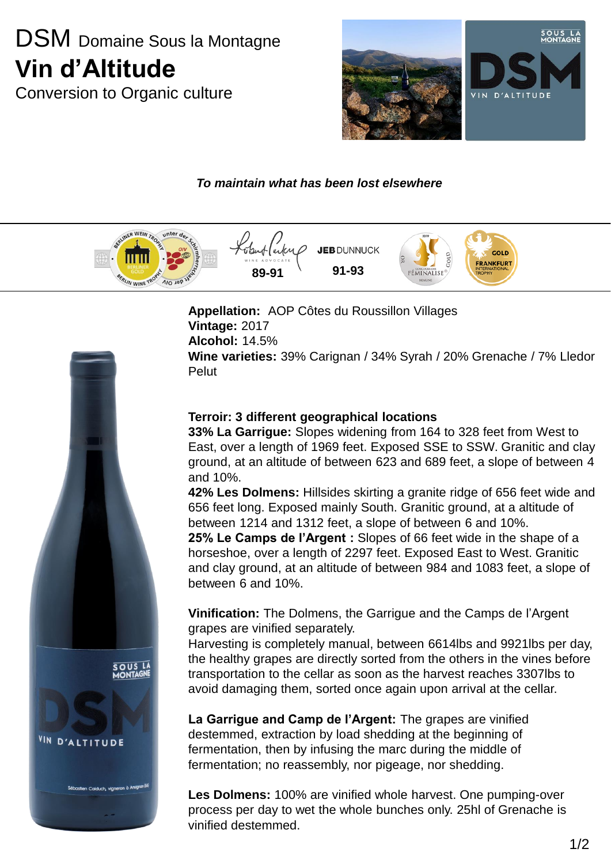# DSM Domaine Sous la Montagne **Vin d'Altitude**

Conversion to Organic culture



### *To maintain what has been lost elsewhere*



**Appellation:** AOP Côtes du Roussillon Villages **Vintage:** 2017 **Alcohol:** 14.5% **Wine varieties:** 39% Carignan / 34% Syrah / 20% Grenache / 7% Lledor **Pelut** 

#### **Terroir: 3 different geographical locations**

**33% La Garrigue:** Slopes widening from 164 to 328 feet from West to East, over a length of 1969 feet. Exposed SSE to SSW. Granitic and clay ground, at an altitude of between 623 and 689 feet, a slope of between 4 and 10%.

**42% Les Dolmens:** Hillsides skirting a granite ridge of 656 feet wide and 656 feet long. Exposed mainly South. Granitic ground, at a altitude of between 1214 and 1312 feet, a slope of between 6 and 10%.

**25% Le Camps de l'Argent :** Slopes of 66 feet wide in the shape of a horseshoe, over a length of 2297 feet. Exposed East to West. Granitic and clay ground, at an altitude of between 984 and 1083 feet, a slope of between 6 and 10%.

**Vinification:** The Dolmens, the Garrigue and the Camps de l'Argent grapes are vinified separately.

Harvesting is completely manual, between 6614lbs and 9921lbs per day, the healthy grapes are directly sorted from the others in the vines before transportation to the cellar as soon as the harvest reaches 3307lbs to avoid damaging them, sorted once again upon arrival at the cellar.

**La Garrigue and Camp de l'Argent:** The grapes are vinified destemmed, extraction by load shedding at the beginning of fermentation, then by infusing the marc during the middle of fermentation; no reassembly, nor pigeage, nor shedding.

**Les Dolmens:** 100% are vinified whole harvest. One pumping-over process per day to wet the whole bunches only. 25hl of Grenache is vinified destemmed.